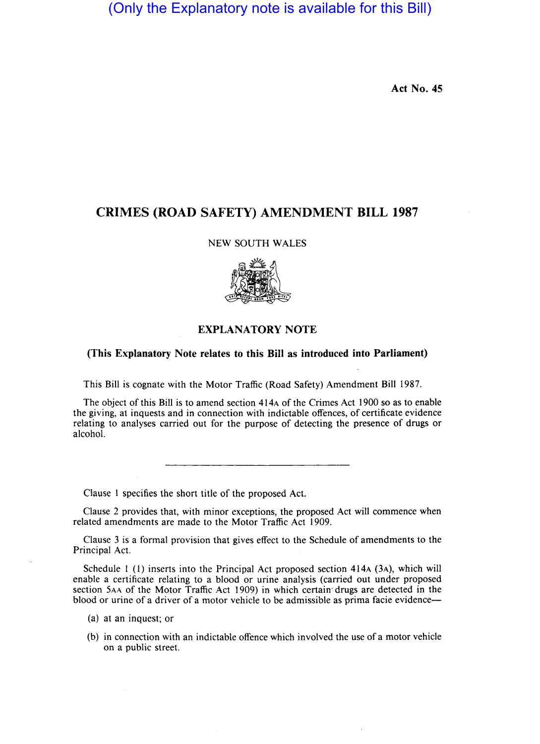(Only the Explanatory note is available for this Bill)

Act No. 45

## CRIMES (ROAD SAFETY) AMENDMENT BILL 1987

#### NEW SOUTH WALES



#### EXPLANATORY NOTE

### (This Explanatory Note relates to this Bill as introduced into Parliament)

This Bill is cognate with the Motor Traffic (Road Safety) Amendment Bill 1987.

The object of this Bill is to amend section 414A of the Crimes Act 1900 so as to enable the giving, at inquests and in connection with indictable offences, of certificate evidence relating to analyses carried out for the purpose of detecting the presence of drugs or alcohol.

Clause I specifies the short title of the proposed Act.

Clause 2 provides that, with minor exceptions, the proposed Act will commence when related amendments are made to the Motor Traffic Act 1909.

Clause 3 is a formal provision that gives effect to the Schedule of amendments to the Principal Act.

Schedule I (I) inserts into the Principal Act proposed section 414A (3A), which will enable a certificate relating to a blood or urine analysis (carried out under proposed section 5AA of the Motor Traffic Act 1909) in which certain'drugs are detected in the blood or urine of a driver of a motor vehicle to be admissible as prima facie evidence-

- (a) at an inquest; or
- (b) in connection with an indictable offence which involved the use of a motor vehicle on a public street.